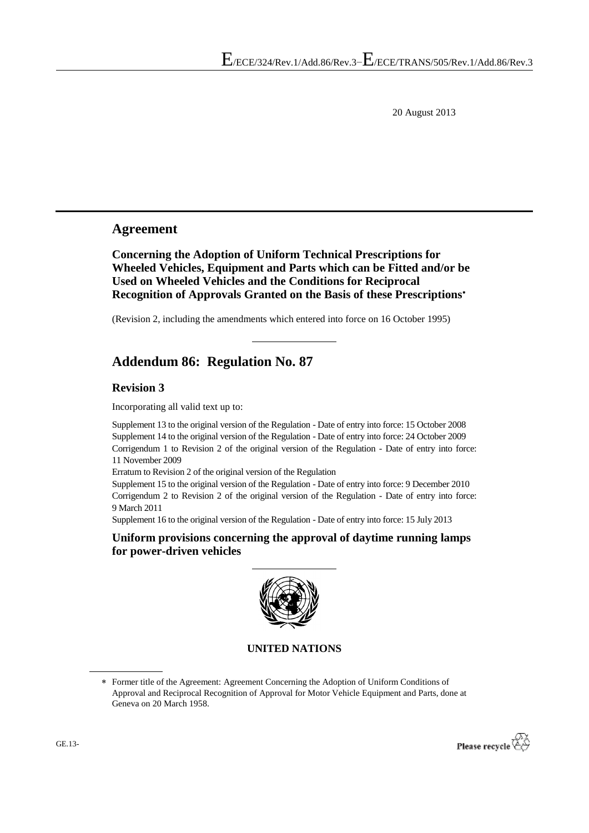20 August 2013

# **Agreement**

**Concerning the Adoption of Uniform Technical Prescriptions for Wheeled Vehicles, Equipment and Parts which can be Fitted and/or be Used on Wheeled Vehicles and the Conditions for Reciprocal Recognition of Approvals Granted on the Basis of these Prescriptions**

(Revision 2, including the amendments which entered into force on 16 October 1995)

# **Addendum 86: Regulation No. 87**

#### **Revision 3**

Incorporating all valid text up to:

Supplement 13 to the original version of the Regulation - Date of entry into force: 15 October 2008 Supplement 14 to the original version of the Regulation - Date of entry into force: 24 October 2009 Corrigendum 1 to Revision 2 of the original version of the Regulation - Date of entry into force: 11 November 2009

Erratum to Revision 2 of the original version of the Regulation

Supplement 15 to the original version of the Regulation - Date of entry into force: 9 December 2010 Corrigendum 2 to Revision 2 of the original version of the Regulation - Date of entry into force: 9 March 2011

Supplement 16 to the original version of the Regulation - Date of entry into force: 15 July 2013

**Uniform provisions concerning the approval of daytime running lamps for power-driven vehicles**



#### **UNITED NATIONS**

Former title of the Agreement: Agreement Concerning the Adoption of Uniform Conditions of Approval and Reciprocal Recognition of Approval for Motor Vehicle Equipment and Parts, done at Geneva on 20 March 1958.

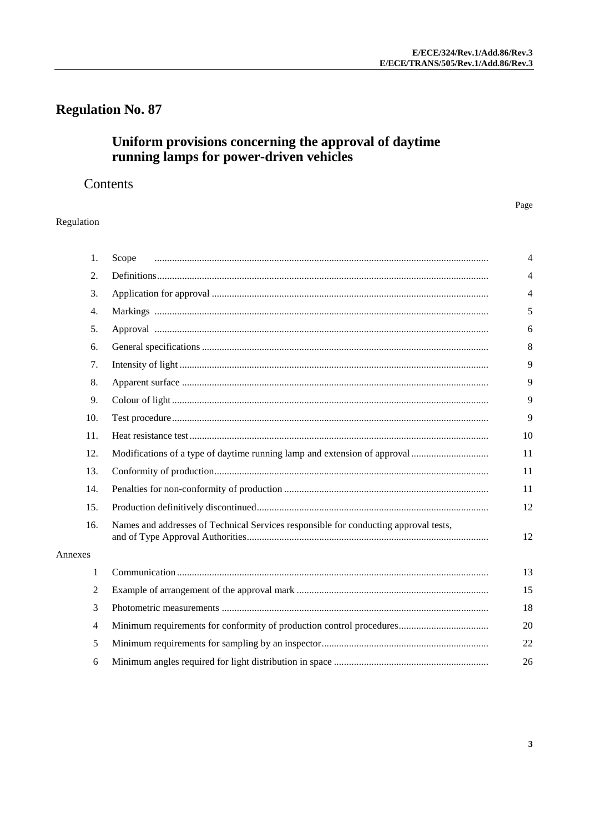# **Regulation No. 87**

# Uniform provisions concerning the approval of daytime<br>running lamps for power-driven vehicles

# Contents

#### Page

#### Regulation

| 1.      | Scope                                                                                | $\overline{4}$ |
|---------|--------------------------------------------------------------------------------------|----------------|
| 2.      |                                                                                      | $\overline{4}$ |
| 3.      |                                                                                      | 4              |
| 4.      |                                                                                      | 5              |
| 5.      |                                                                                      | 6              |
| 6.      |                                                                                      | 8              |
| 7.      |                                                                                      | 9              |
| 8.      |                                                                                      | 9              |
| 9.      |                                                                                      | 9              |
| 10.     |                                                                                      | 9              |
| 11.     |                                                                                      | 10             |
| 12.     |                                                                                      | 11             |
| 13.     |                                                                                      | 11             |
| 14.     |                                                                                      | 11             |
| 15.     |                                                                                      | 12             |
| 16.     | Names and addresses of Technical Services responsible for conducting approval tests, | 12             |
| Annexes |                                                                                      |                |
| 1       |                                                                                      | 13             |
| 2       |                                                                                      | 15             |
| 3       |                                                                                      | 18             |
| 4       |                                                                                      | 20             |
| 5       |                                                                                      | 22             |
| 6       |                                                                                      | 26             |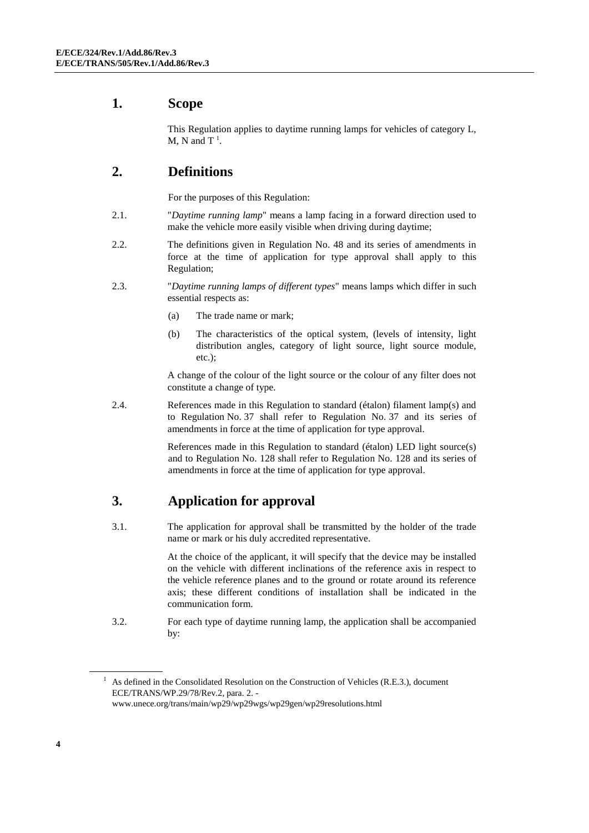# <span id="page-3-0"></span>**1. Scope**

This Regulation applies to daytime running lamps for vehicles of category L, M, N and  $T^1$ .

# <span id="page-3-1"></span>**2. Definitions**

For the purposes of this Regulation:

- 2.1. "*Daytime running lamp*" means a lamp facing in a forward direction used to make the vehicle more easily visible when driving during daytime;
- 2.2. The definitions given in Regulation No. 48 and its series of amendments in force at the time of application for type approval shall apply to this Regulation;
- 2.3. "*Daytime running lamps of different types*" means lamps which differ in such essential respects as:
	- (a) The trade name or mark;
	- (b) The characteristics of the optical system, (levels of intensity, light distribution angles, category of light source, light source module, etc.);

A change of the colour of the light source or the colour of any filter does not constitute a change of type.

2.4. References made in this Regulation to standard (étalon) filament lamp(s) and to Regulation No. 37 shall refer to Regulation No. 37 and its series of amendments in force at the time of application for type approval.

> References made in this Regulation to standard (étalon) LED light source(s) and to Regulation No. 128 shall refer to Regulation No. 128 and its series of amendments in force at the time of application for type approval.

# <span id="page-3-2"></span>**3. Application for approval**

3.1. The application for approval shall be transmitted by the holder of the trade name or mark or his duly accredited representative.

> At the choice of the applicant, it will specify that the device may be installed on the vehicle with different inclinations of the reference axis in respect to the vehicle reference planes and to the ground or rotate around its reference axis; these different conditions of installation shall be indicated in the communication form.

3.2. For each type of daytime running lamp, the application shall be accompanied by:

<sup>1</sup> As defined in the Consolidated Resolution on the Construction of Vehicles (R.E.3.), document ECE/TRANS/WP.29/78/Rev.2, para. 2. [www.unece.org/trans/main/wp29/wp29wgs/wp29gen/wp29resolutions.html](http://www.unece.org/trans/main/wp29/wp29wgs/wp29gen/wp29resolutions.html)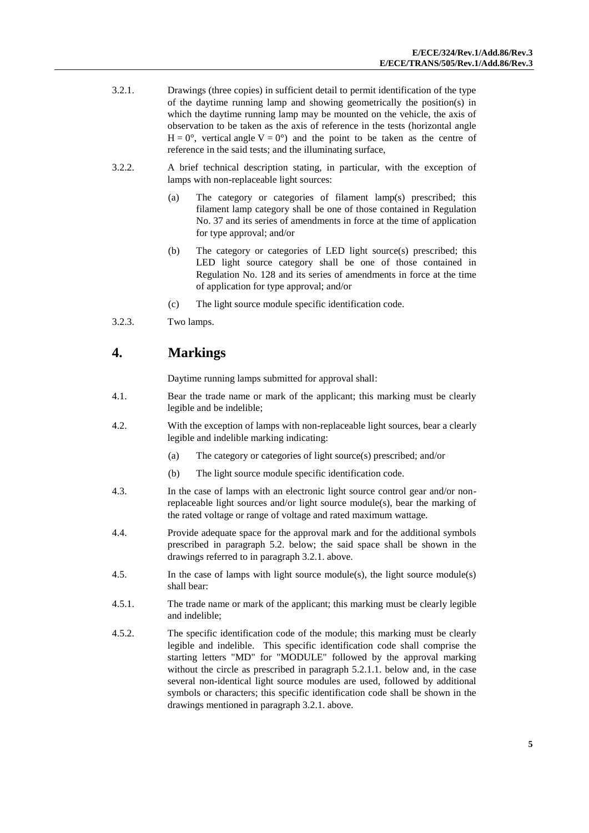- 3.2.1. Drawings (three copies) in sufficient detail to permit identification of the type of the daytime running lamp and showing geometrically the position(s) in which the daytime running lamp may be mounted on the vehicle, the axis of observation to be taken as the axis of reference in the tests (horizontal angle  $H = 0^{\circ}$ , vertical angle  $V = 0^{\circ}$  and the point to be taken as the centre of reference in the said tests; and the illuminating surface,
- 3.2.2. A brief technical description stating, in particular, with the exception of lamps with non-replaceable light sources:
	- (a) The category or categories of filament lamp(s) prescribed; this filament lamp category shall be one of those contained in Regulation No. 37 and its series of amendments in force at the time of application for type approval; and/or
	- (b) The category or categories of LED light source(s) prescribed; this LED light source category shall be one of those contained in Regulation No. 128 and its series of amendments in force at the time of application for type approval; and/or
	- (c) The light source module specific identification code.
- 3.2.3. Two lamps.

# <span id="page-4-0"></span>**4. Markings**

Daytime running lamps submitted for approval shall:

- 4.1. Bear the trade name or mark of the applicant; this marking must be clearly legible and be indelible;
- 4.2. With the exception of lamps with non-replaceable light sources, bear a clearly legible and indelible marking indicating:
	- (a) The category or categories of light source(s) prescribed; and/or
	- (b) The light source module specific identification code.
- 4.3. In the case of lamps with an electronic light source control gear and/or nonreplaceable light sources and/or light source module(s), bear the marking of the rated voltage or range of voltage and rated maximum wattage.
- 4.4. Provide adequate space for the approval mark and for the additional symbols prescribed in paragraph 5.2. below; the said space shall be shown in the drawings referred to in paragraph 3.2.1. above.
- 4.5. In the case of lamps with light source module(s), the light source module(s) shall bear:
- 4.5.1. The trade name or mark of the applicant; this marking must be clearly legible and indelible;
- 4.5.2. The specific identification code of the module; this marking must be clearly legible and indelible. This specific identification code shall comprise the starting letters "MD" for "MODULE" followed by the approval marking without the circle as prescribed in paragraph 5.2.1.1. below and, in the case several non-identical light source modules are used, followed by additional symbols or characters; this specific identification code shall be shown in the drawings mentioned in paragraph 3.2.1. above.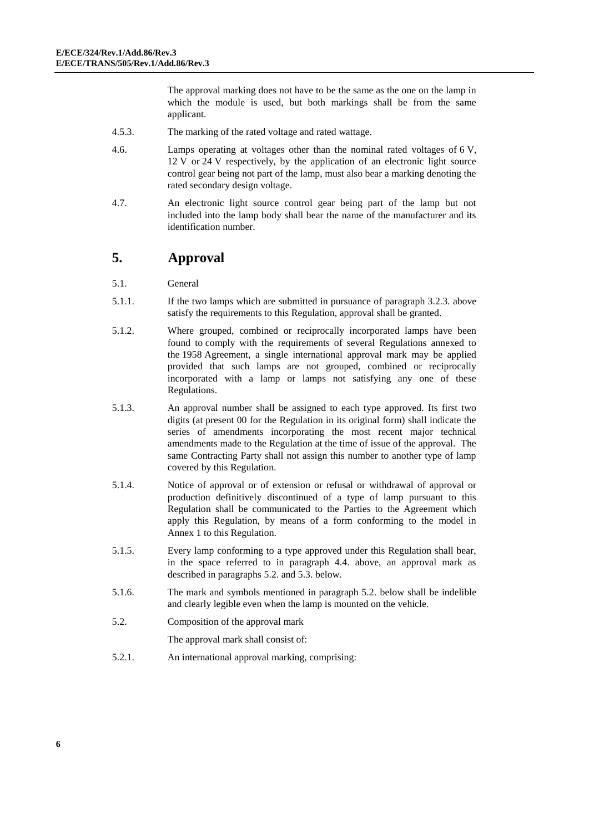The approval marking does not have to be the same as the one on the lamp in which the module is used, but both markings shall be from the same applicant.

- 4.5.3. The marking of the rated voltage and rated wattage.
- 4.6. Lamps operating at voltages other than the nominal rated voltages of 6 V, 12 V or 24 V respectively, by the application of an electronic light source control gear being not part of the lamp, must also bear a marking denoting the rated secondary design voltage.
- 4.7. An electronic light source control gear being part of the lamp but not included into the lamp body shall bear the name of the manufacturer and its identification number.

# <span id="page-5-0"></span>**5. Approval**

- 5.1. General
- 5.1.1. If the two lamps which are submitted in pursuance of paragraph 3.2.3. above satisfy the requirements to this Regulation, approval shall be granted.
- 5.1.2. Where grouped, combined or reciprocally incorporated lamps have been found to comply with the requirements of several Regulations annexed to the 1958 Agreement, a single international approval mark may be applied provided that such lamps are not grouped, combined or reciprocally incorporated with a lamp or lamps not satisfying any one of these Regulations.
- 5.1.3. An approval number shall be assigned to each type approved. Its first two digits (at present 00 for the Regulation in its original form) shall indicate the series of amendments incorporating the most recent major technical amendments made to the Regulation at the time of issue of the approval. The same Contracting Party shall not assign this number to another type of lamp covered by this Regulation.
- 5.1.4. Notice of approval or of extension or refusal or withdrawal of approval or production definitively discontinued of a type of lamp pursuant to this Regulation shall be communicated to the Parties to the Agreement which apply this Regulation, by means of a form conforming to the model in Annex 1 to this Regulation.
- 5.1.5. Every lamp conforming to a type approved under this Regulation shall bear, in the space referred to in paragraph 4.4. above, an approval mark as described in paragraphs 5.2. and 5.3. below.
- 5.1.6. The mark and symbols mentioned in paragraph 5.2. below shall be indelible and clearly legible even when the lamp is mounted on the vehicle.
- 5.2. Composition of the approval mark
	- The approval mark shall consist of:
- 5.2.1. An international approval marking, comprising: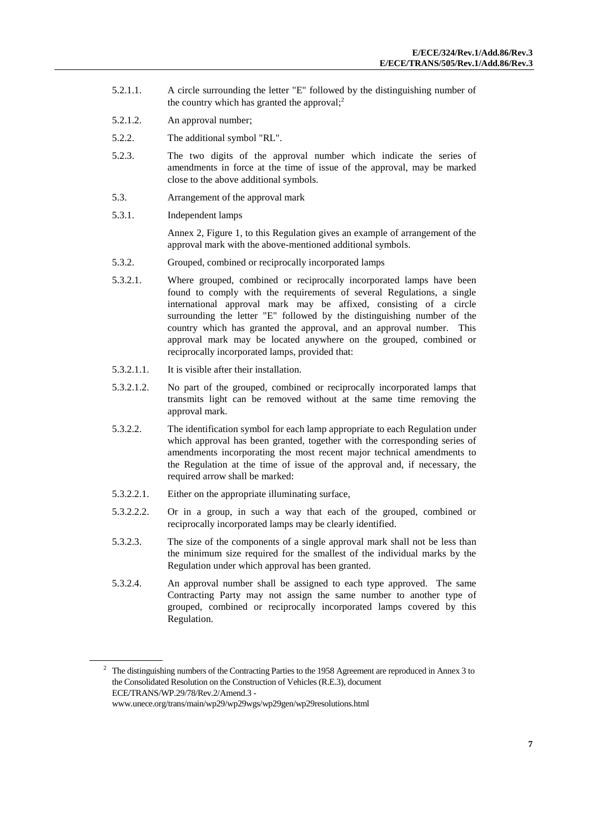- 5.2.1.1. A circle surrounding the letter "E" followed by the distinguishing number of the country which has granted the approval; 2
- 5.2.1.2. An approval number;
- 5.2.2. The additional symbol "RL".
- 5.2.3. The two digits of the approval number which indicate the series of amendments in force at the time of issue of the approval, may be marked close to the above additional symbols.
- 5.3. Arrangement of the approval mark
- 5.3.1. Independent lamps

Annex 2, Figure 1, to this Regulation gives an example of arrangement of the approval mark with the above-mentioned additional symbols.

- 5.3.2. Grouped, combined or reciprocally incorporated lamps
- 5.3.2.1. Where grouped, combined or reciprocally incorporated lamps have been found to comply with the requirements of several Regulations, a single international approval mark may be affixed, consisting of a circle surrounding the letter "E" followed by the distinguishing number of the country which has granted the approval, and an approval number. This approval mark may be located anywhere on the grouped, combined or reciprocally incorporated lamps, provided that:
- 5.3.2.1.1. It is visible after their installation.
- 5.3.2.1.2. No part of the grouped, combined or reciprocally incorporated lamps that transmits light can be removed without at the same time removing the approval mark.
- 5.3.2.2. The identification symbol for each lamp appropriate to each Regulation under which approval has been granted, together with the corresponding series of amendments incorporating the most recent major technical amendments to the Regulation at the time of issue of the approval and, if necessary, the required arrow shall be marked:
- 5.3.2.2.1. Either on the appropriate illuminating surface,
- 5.3.2.2.2. Or in a group, in such a way that each of the grouped, combined or reciprocally incorporated lamps may be clearly identified.
- 5.3.2.3. The size of the components of a single approval mark shall not be less than the minimum size required for the smallest of the individual marks by the Regulation under which approval has been granted.
- 5.3.2.4. An approval number shall be assigned to each type approved. The same Contracting Party may not assign the same number to another type of grouped, combined or reciprocally incorporated lamps covered by this Regulation.

<sup>&</sup>lt;sup>2</sup> The distinguishing numbers of the Contracting Parties to the 1958 Agreement are reproduced in Annex 3 to the Consolidated Resolution on the Construction of Vehicles (R.E.3), document ECE/TRANS/WP.29/78/Rev.2/Amend.3 [www.unece.org/trans/main/wp29/wp29wgs/wp29gen/wp29resolutions.html](http://www.unece.org/trans/main/wp29/wp29wgs/wp29gen/wp29resolutions.html)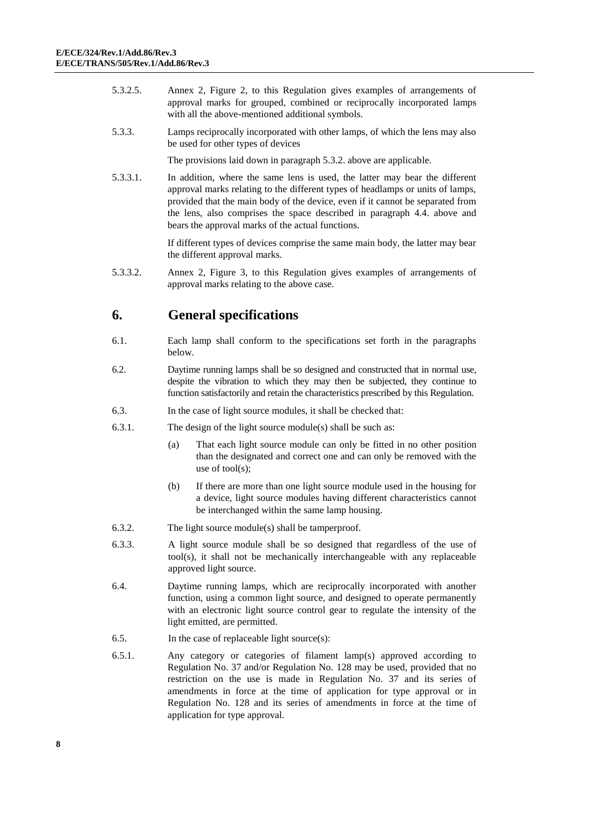- 5.3.2.5. Annex 2, Figure 2, to this Regulation gives examples of arrangements of approval marks for grouped, combined or reciprocally incorporated lamps with all the above-mentioned additional symbols.
- 5.3.3. Lamps reciprocally incorporated with other lamps, of which the lens may also be used for other types of devices

The provisions laid down in paragraph 5.3.2. above are applicable.

5.3.3.1. In addition, where the same lens is used, the latter may bear the different approval marks relating to the different types of headlamps or units of lamps, provided that the main body of the device, even if it cannot be separated from the lens, also comprises the space described in paragraph 4.4. above and bears the approval marks of the actual functions.

> If different types of devices comprise the same main body, the latter may bear the different approval marks.

5.3.3.2. Annex 2, Figure 3, to this Regulation gives examples of arrangements of approval marks relating to the above case.

## <span id="page-7-0"></span>**6. General specifications**

- 6.1. Each lamp shall conform to the specifications set forth in the paragraphs below.
- 6.2. Daytime running lamps shall be so designed and constructed that in normal use, despite the vibration to which they may then be subjected, they continue to function satisfactorily and retain the characteristics prescribed by this Regulation.
- 6.3. In the case of light source modules, it shall be checked that:
- 6.3.1. The design of the light source module(s) shall be such as:
	- (a) That each light source module can only be fitted in no other position than the designated and correct one and can only be removed with the use of tool(s);
	- (b) If there are more than one light source module used in the housing for a device, light source modules having different characteristics cannot be interchanged within the same lamp housing.
- 6.3.2. The light source module(s) shall be tamperproof.
- 6.3.3. A light source module shall be so designed that regardless of the use of tool(s), it shall not be mechanically interchangeable with any replaceable approved light source.
- 6.4. Daytime running lamps, which are reciprocally incorporated with another function, using a common light source, and designed to operate permanently with an electronic light source control gear to regulate the intensity of the light emitted, are permitted.
- 6.5. In the case of replaceable light source(s):
- 6.5.1. Any category or categories of filament lamp(s) approved according to Regulation No. 37 and/or Regulation No. 128 may be used, provided that no restriction on the use is made in Regulation No. 37 and its series of amendments in force at the time of application for type approval or in Regulation No. 128 and its series of amendments in force at the time of application for type approval.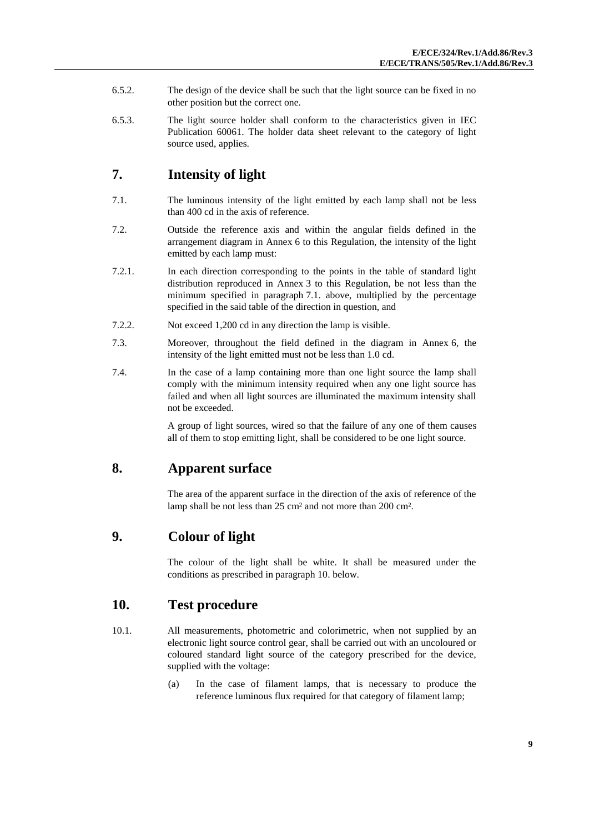- 6.5.2. The design of the device shall be such that the light source can be fixed in no other position but the correct one.
- 6.5.3. The light source holder shall conform to the characteristics given in IEC Publication 60061. The holder data sheet relevant to the category of light source used, applies.

# <span id="page-8-0"></span>**7. Intensity of light**

- 7.1. The luminous intensity of the light emitted by each lamp shall not be less than 400 cd in the axis of reference.
- 7.2. Outside the reference axis and within the angular fields defined in the arrangement diagram in Annex 6 to this Regulation, the intensity of the light emitted by each lamp must:
- 7.2.1. In each direction corresponding to the points in the table of standard light distribution reproduced in Annex 3 to this Regulation, be not less than the minimum specified in paragraph 7.1. above, multiplied by the percentage specified in the said table of the direction in question, and
- 7.2.2. Not exceed 1,200 cd in any direction the lamp is visible.
- 7.3. Moreover, throughout the field defined in the diagram in Annex 6, the intensity of the light emitted must not be less than 1.0 cd.
- 7.4. In the case of a lamp containing more than one light source the lamp shall comply with the minimum intensity required when any one light source has failed and when all light sources are illuminated the maximum intensity shall not be exceeded.

A group of light sources, wired so that the failure of any one of them causes all of them to stop emitting light, shall be considered to be one light source.

# <span id="page-8-1"></span>**8. Apparent surface**

The area of the apparent surface in the direction of the axis of reference of the lamp shall be not less than 25 cm² and not more than 200 cm².

# <span id="page-8-2"></span>**9. Colour of light**

The colour of the light shall be white. It shall be measured under the conditions as prescribed in paragraph 10. below.

# <span id="page-8-3"></span>**10. Test procedure**

- 10.1. All measurements, photometric and colorimetric, when not supplied by an electronic light source control gear, shall be carried out with an uncoloured or coloured standard light source of the category prescribed for the device, supplied with the voltage:
	- (a) In the case of filament lamps, that is necessary to produce the reference luminous flux required for that category of filament lamp;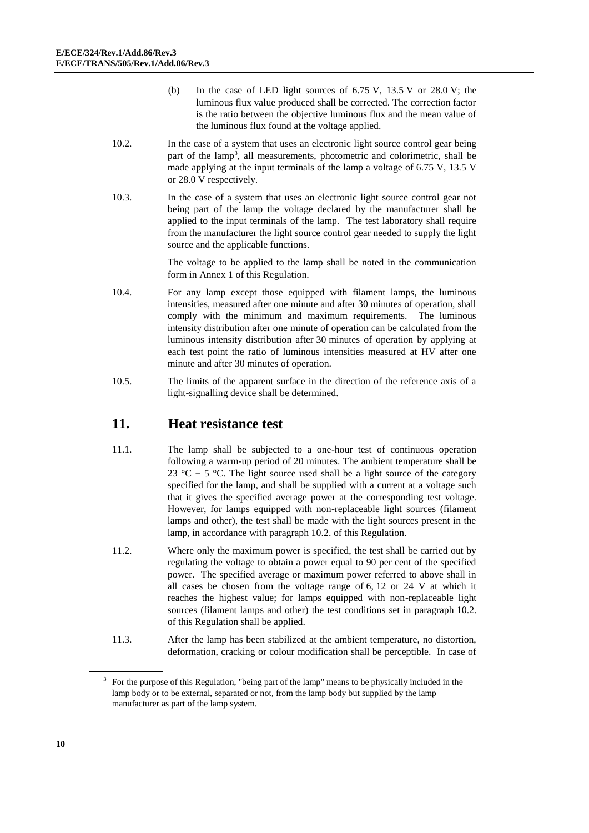- (b) In the case of LED light sources of  $6.75$  V,  $13.5$  V or  $28.0$  V; the luminous flux value produced shall be corrected. The correction factor is the ratio between the objective luminous flux and the mean value of the luminous flux found at the voltage applied.
- 10.2. In the case of a system that uses an electronic light source control gear being part of the lamp<sup>3</sup>, all measurements, photometric and colorimetric, shall be made applying at the input terminals of the lamp a voltage of 6.75 V, 13.5 V or 28.0 V respectively.
- 10.3. In the case of a system that uses an electronic light source control gear not being part of the lamp the voltage declared by the manufacturer shall be applied to the input terminals of the lamp. The test laboratory shall require from the manufacturer the light source control gear needed to supply the light source and the applicable functions.

The voltage to be applied to the lamp shall be noted in the communication form in Annex 1 of this Regulation.

- 10.4. For any lamp except those equipped with filament lamps, the luminous intensities, measured after one minute and after 30 minutes of operation, shall comply with the minimum and maximum requirements. The luminous intensity distribution after one minute of operation can be calculated from the luminous intensity distribution after 30 minutes of operation by applying at each test point the ratio of luminous intensities measured at HV after one minute and after 30 minutes of operation.
- 10.5. The limits of the apparent surface in the direction of the reference axis of a light-signalling device shall be determined.

## <span id="page-9-0"></span>**11. Heat resistance test**

- 11.1. The lamp shall be subjected to a one-hour test of continuous operation following a warm-up period of 20 minutes. The ambient temperature shall be 23 °C  $\pm$  5 °C. The light source used shall be a light source of the category specified for the lamp, and shall be supplied with a current at a voltage such that it gives the specified average power at the corresponding test voltage. However, for lamps equipped with non-replaceable light sources (filament lamps and other), the test shall be made with the light sources present in the lamp, in accordance with paragraph 10.2. of this Regulation.
- 11.2. Where only the maximum power is specified, the test shall be carried out by regulating the voltage to obtain a power equal to 90 per cent of the specified power. The specified average or maximum power referred to above shall in all cases be chosen from the voltage range of 6, 12 or 24 V at which it reaches the highest value; for lamps equipped with non-replaceable light sources (filament lamps and other) the test conditions set in paragraph 10.2. of this Regulation shall be applied.
- 11.3. After the lamp has been stabilized at the ambient temperature, no distortion, deformation, cracking or colour modification shall be perceptible. In case of

<sup>3</sup> For the purpose of this Regulation, "being part of the lamp" means to be physically included in the lamp body or to be external, separated or not, from the lamp body but supplied by the lamp manufacturer as part of the lamp system.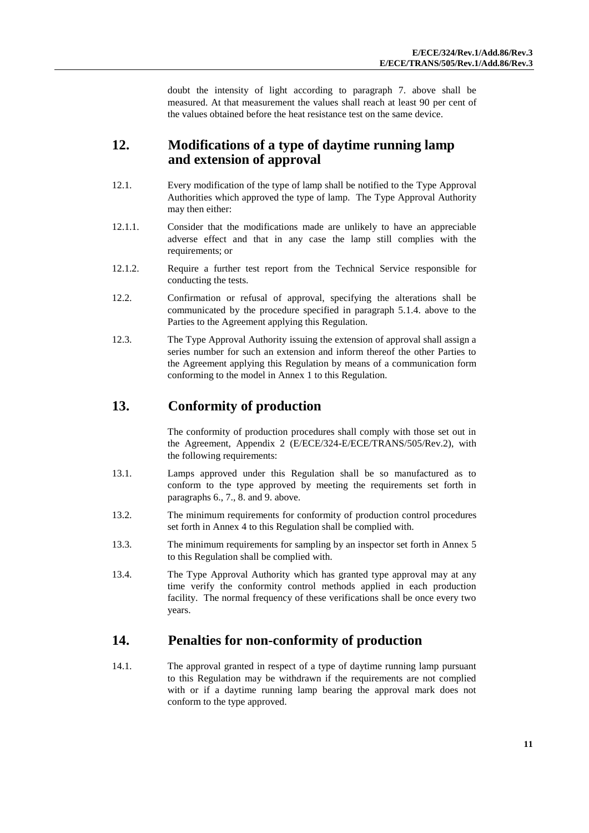doubt the intensity of light according to paragraph 7. above shall be measured. At that measurement the values shall reach at least 90 per cent of the values obtained before the heat resistance test on the same device.

## <span id="page-10-0"></span>**12. Modifications of a type of daytime running lamp and extension of approval**

- 12.1. Every modification of the type of lamp shall be notified to the Type Approval Authorities which approved the type of lamp. The Type Approval Authority may then either:
- 12.1.1. Consider that the modifications made are unlikely to have an appreciable adverse effect and that in any case the lamp still complies with the requirements; or
- 12.1.2. Require a further test report from the Technical Service responsible for conducting the tests.
- 12.2. Confirmation or refusal of approval, specifying the alterations shall be communicated by the procedure specified in paragraph 5.1.4. above to the Parties to the Agreement applying this Regulation.
- 12.3. The Type Approval Authority issuing the extension of approval shall assign a series number for such an extension and inform thereof the other Parties to the Agreement applying this Regulation by means of a communication form conforming to the model in Annex 1 to this Regulation.

# <span id="page-10-1"></span>**13. Conformity of production**

The conformity of production procedures shall comply with those set out in the Agreement, Appendix 2 (E/ECE/324-E/ECE/TRANS/505/Rev.2), with the following requirements:

- 13.1. Lamps approved under this Regulation shall be so manufactured as to conform to the type approved by meeting the requirements set forth in paragraphs 6., 7., 8. and 9. above.
- 13.2. The minimum requirements for conformity of production control procedures set forth in Annex 4 to this Regulation shall be complied with.
- 13.3. The minimum requirements for sampling by an inspector set forth in Annex 5 to this Regulation shall be complied with.
- 13.4. The Type Approval Authority which has granted type approval may at any time verify the conformity control methods applied in each production facility. The normal frequency of these verifications shall be once every two years.

## <span id="page-10-2"></span>**14. Penalties for non-conformity of production**

14.1. The approval granted in respect of a type of daytime running lamp pursuant to this Regulation may be withdrawn if the requirements are not complied with or if a daytime running lamp bearing the approval mark does not conform to the type approved.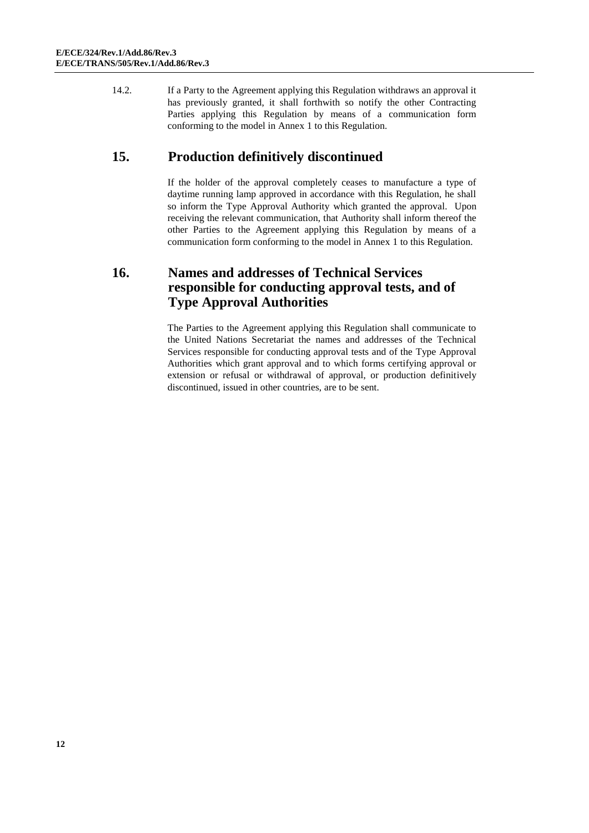14.2. If a Party to the Agreement applying this Regulation withdraws an approval it has previously granted, it shall forthwith so notify the other Contracting Parties applying this Regulation by means of a communication form conforming to the model in Annex 1 to this Regulation.

# <span id="page-11-0"></span>**15. Production definitively discontinued**

If the holder of the approval completely ceases to manufacture a type of daytime running lamp approved in accordance with this Regulation, he shall so inform the Type Approval Authority which granted the approval. Upon receiving the relevant communication, that Authority shall inform thereof the other Parties to the Agreement applying this Regulation by means of a communication form conforming to the model in Annex 1 to this Regulation.

# <span id="page-11-1"></span>**16. Names and addresses of Technical Services responsible for conducting approval tests, and of Type Approval Authorities**

The Parties to the Agreement applying this Regulation shall communicate to the United Nations Secretariat the names and addresses of the Technical Services responsible for conducting approval tests and of the Type Approval Authorities which grant approval and to which forms certifying approval or extension or refusal or withdrawal of approval, or production definitively discontinued, issued in other countries, are to be sent.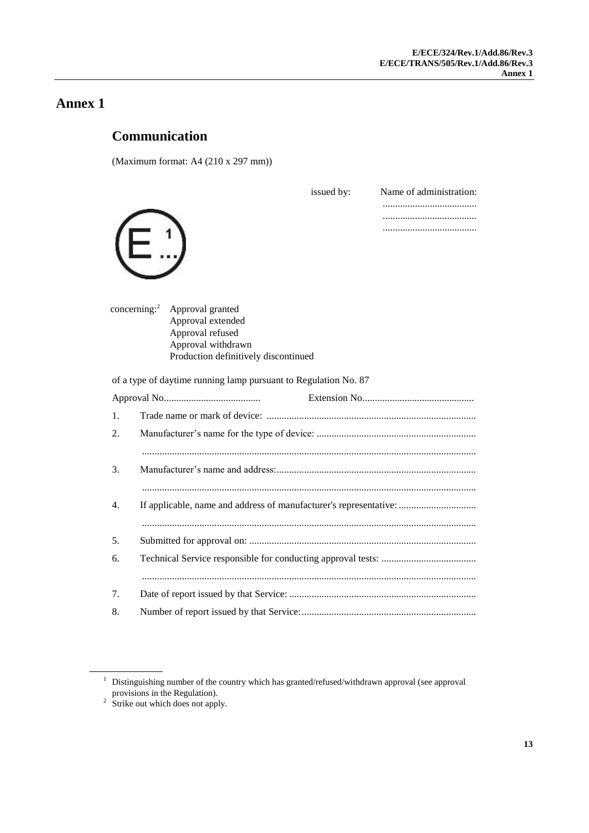# <span id="page-12-1"></span><span id="page-12-0"></span>**Communication**

(Maximum format: A4 (210 x 297 mm))

|         |                                      | issued by:                                                        | Name of administration: |
|---------|--------------------------------------|-------------------------------------------------------------------|-------------------------|
|         |                                      |                                                                   |                         |
|         |                                      |                                                                   |                         |
|         |                                      |                                                                   |                         |
|         |                                      |                                                                   |                         |
|         |                                      |                                                                   |                         |
|         |                                      |                                                                   |                         |
|         | concerning: $2$<br>Approval granted  |                                                                   |                         |
|         | Approval extended                    |                                                                   |                         |
|         | Approval refused                     |                                                                   |                         |
|         | Approval withdrawn                   |                                                                   |                         |
|         | Production definitively discontinued |                                                                   |                         |
|         |                                      | of a type of daytime running lamp pursuant to Regulation No. 87   |                         |
|         |                                      |                                                                   |                         |
| $1_{-}$ |                                      |                                                                   |                         |
| 2.      |                                      |                                                                   |                         |
|         |                                      |                                                                   |                         |
| 3.      |                                      |                                                                   |                         |
|         |                                      |                                                                   |                         |
|         |                                      |                                                                   |                         |
| 4.      |                                      | If applicable, name and address of manufacturer's representative: |                         |
|         |                                      |                                                                   |                         |
| 5.      |                                      |                                                                   |                         |
| 6.      |                                      |                                                                   |                         |
|         |                                      |                                                                   |                         |
|         |                                      |                                                                   |                         |
| 7.      |                                      |                                                                   |                         |
| 8.      |                                      |                                                                   |                         |

 $1$  Distinguishing number of the country which has granted/refused/withdrawn approval (see approval

provisions in the Regulation).<br><sup>2</sup> Strike out which does not apply.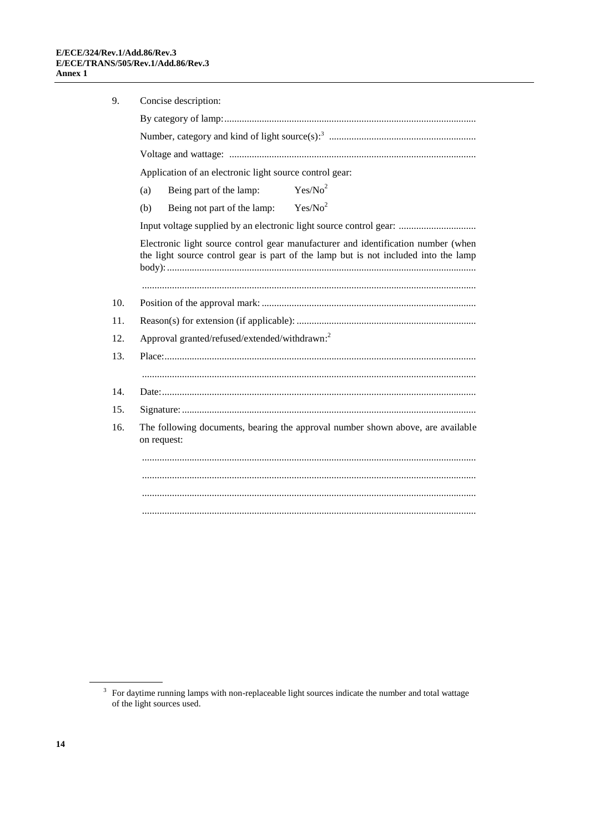| 9.                                                                                                                                                                       | Concise description:                                                                           |  |  |  |  |
|--------------------------------------------------------------------------------------------------------------------------------------------------------------------------|------------------------------------------------------------------------------------------------|--|--|--|--|
|                                                                                                                                                                          |                                                                                                |  |  |  |  |
|                                                                                                                                                                          |                                                                                                |  |  |  |  |
|                                                                                                                                                                          |                                                                                                |  |  |  |  |
|                                                                                                                                                                          | Application of an electronic light source control gear:                                        |  |  |  |  |
|                                                                                                                                                                          | Yes/No <sup>2</sup><br>Being part of the lamp:<br>(a)                                          |  |  |  |  |
|                                                                                                                                                                          | Yes/No <sup>2</sup><br>Being not part of the lamp:<br>(b)                                      |  |  |  |  |
|                                                                                                                                                                          | Input voltage supplied by an electronic light source control gear:                             |  |  |  |  |
| Electronic light source control gear manufacturer and identification number (when<br>the light source control gear is part of the lamp but is not included into the lamp |                                                                                                |  |  |  |  |
|                                                                                                                                                                          |                                                                                                |  |  |  |  |
| 10.                                                                                                                                                                      |                                                                                                |  |  |  |  |
| 11.                                                                                                                                                                      |                                                                                                |  |  |  |  |
| 12.                                                                                                                                                                      | Approval granted/refused/extended/withdrawn: <sup>2</sup>                                      |  |  |  |  |
| 13.                                                                                                                                                                      |                                                                                                |  |  |  |  |
|                                                                                                                                                                          |                                                                                                |  |  |  |  |
| 14.                                                                                                                                                                      |                                                                                                |  |  |  |  |
| 15.                                                                                                                                                                      |                                                                                                |  |  |  |  |
| 16.                                                                                                                                                                      | The following documents, bearing the approval number shown above, are available<br>on request: |  |  |  |  |
|                                                                                                                                                                          |                                                                                                |  |  |  |  |
|                                                                                                                                                                          |                                                                                                |  |  |  |  |
|                                                                                                                                                                          |                                                                                                |  |  |  |  |
|                                                                                                                                                                          |                                                                                                |  |  |  |  |

 $3$  For daytime running lamps with non-replaceable light sources indicate the number and total wattage of the light sources used.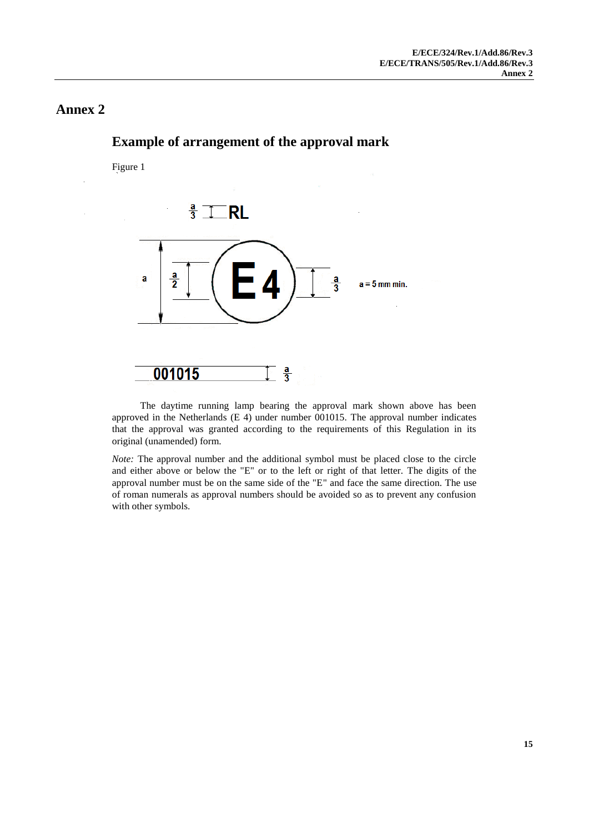# $rac{a}{3}$ **RL** ā  $a = 5$  mm min. 001015  $\frac{a}{3}$

The daytime running lamp bearing the approval mark shown above has been approved in the Netherlands (E 4) under number 001015. The approval number indicates that the approval was granted according to the requirements of this Regulation in its original (unamended) form.

*Note:* The approval number and the additional symbol must be placed close to the circle and either above or below the "E" or to the left or right of that letter. The digits of the approval number must be on the same side of the "E" and face the same direction. The use of roman numerals as approval numbers should be avoided so as to prevent any confusion with other symbols.

# <span id="page-14-1"></span><span id="page-14-0"></span>**Example of arrangement of the approval mark**

Figure 1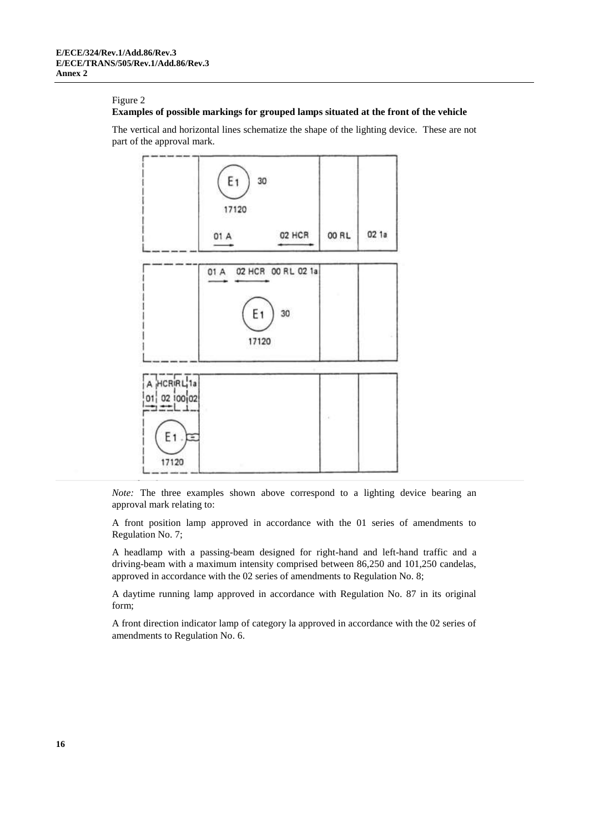#### Figure 2

#### **Examples of possible markings for grouped lamps situated at the front of the vehicle**

The vertical and horizontal lines schematize the shape of the lighting device. These are not part of the approval mark.



*Note:* The three examples shown above correspond to a lighting device bearing an approval mark relating to:

A front position lamp approved in accordance with the 01 series of amendments to Regulation No. 7;

A headlamp with a passing-beam designed for right-hand and left-hand traffic and a driving-beam with a maximum intensity comprised between 86,250 and 101,250 candelas, approved in accordance with the 02 series of amendments to Regulation No. 8;

A daytime running lamp approved in accordance with Regulation No. 87 in its original form;

A front direction indicator lamp of category la approved in accordance with the 02 series of amendments to Regulation No. 6.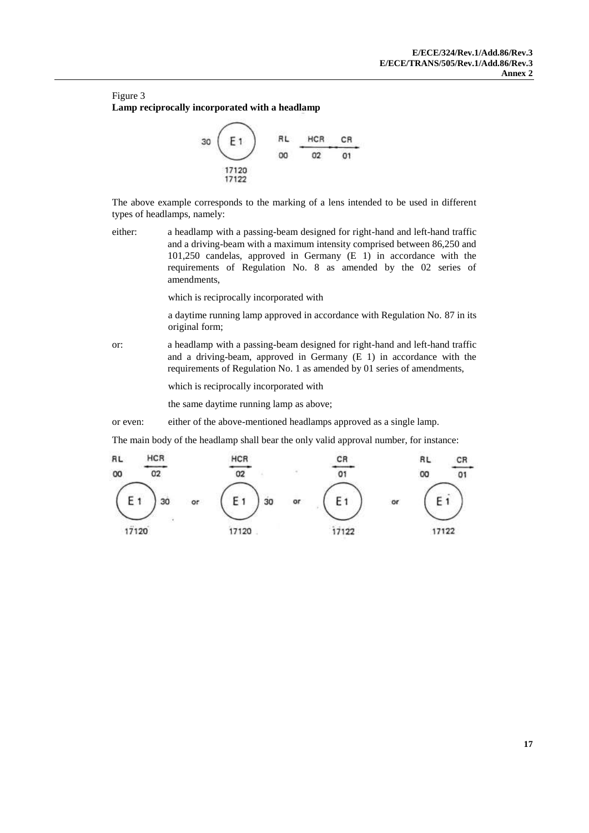#### Figure 3 **Lamp reciprocally incorporated with a headlamp**



The above example corresponds to the marking of a lens intended to be used in different types of headlamps, namely:

either: a headlamp with a passing-beam designed for right-hand and left-hand traffic and a driving-beam with a maximum intensity comprised between 86,250 and 101,250 candelas, approved in Germany (E 1) in accordance with the requirements of Regulation No. 8 as amended by the 02 series of amendments,

which is reciprocally incorporated with

a daytime running lamp approved in accordance with Regulation No. 87 in its original form;

or: a headlamp with a passing-beam designed for right-hand and left-hand traffic and a driving-beam, approved in Germany (E 1) in accordance with the requirements of Regulation No. 1 as amended by 01 series of amendments,

which is reciprocally incorporated with

the same daytime running lamp as above;

or even: either of the above-mentioned headlamps approved as a single lamp.

The main body of the headlamp shall bear the only valid approval number, for instance:

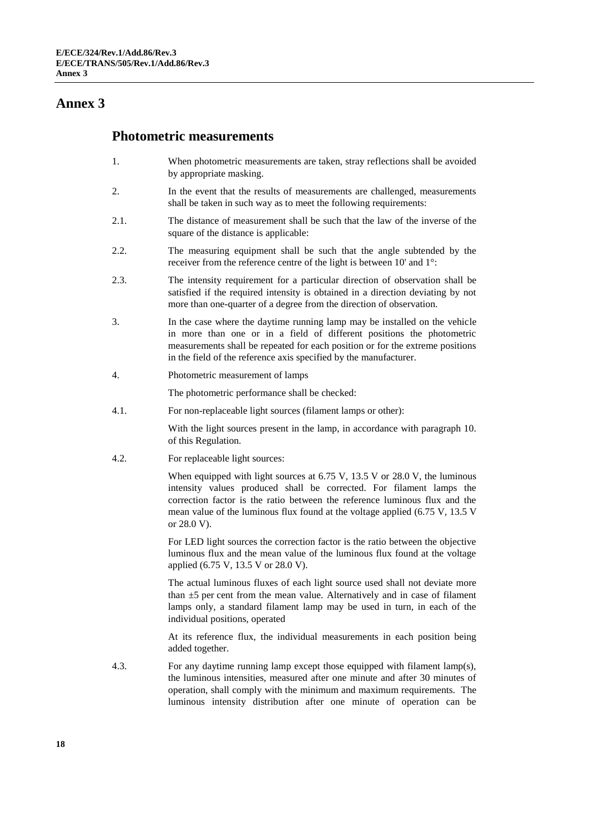#### <span id="page-17-0"></span>**Photometric measurements**

- 1. When photometric measurements are taken, stray reflections shall be avoided by appropriate masking.
- 2. In the event that the results of measurements are challenged, measurements shall be taken in such way as to meet the following requirements:
- 2.1. The distance of measurement shall be such that the law of the inverse of the square of the distance is applicable:
- 2.2. The measuring equipment shall be such that the angle subtended by the receiver from the reference centre of the light is between 10' and 1°:
- 2.3. The intensity requirement for a particular direction of observation shall be satisfied if the required intensity is obtained in a direction deviating by not more than one-quarter of a degree from the direction of observation.
- 3. In the case where the daytime running lamp may be installed on the vehicle in more than one or in a field of different positions the photometric measurements shall be repeated for each position or for the extreme positions in the field of the reference axis specified by the manufacturer.
- 4. Photometric measurement of lamps

The photometric performance shall be checked:

4.1. For non-replaceable light sources (filament lamps or other):

With the light sources present in the lamp, in accordance with paragraph 10. of this Regulation.

4.2. For replaceable light sources:

When equipped with light sources at 6.75 V, 13.5 V or 28.0 V, the luminous intensity values produced shall be corrected. For filament lamps the correction factor is the ratio between the reference luminous flux and the mean value of the luminous flux found at the voltage applied (6.75 V, 13.5 V or 28.0 V).

For LED light sources the correction factor is the ratio between the objective luminous flux and the mean value of the luminous flux found at the voltage applied (6.75 V, 13.5 V or 28.0 V).

The actual luminous fluxes of each light source used shall not deviate more than  $\pm 5$  per cent from the mean value. Alternatively and in case of filament lamps only, a standard filament lamp may be used in turn, in each of the individual positions, operated

At its reference flux, the individual measurements in each position being added together.

4.3. For any daytime running lamp except those equipped with filament lamp(s), the luminous intensities, measured after one minute and after 30 minutes of operation, shall comply with the minimum and maximum requirements. The luminous intensity distribution after one minute of operation can be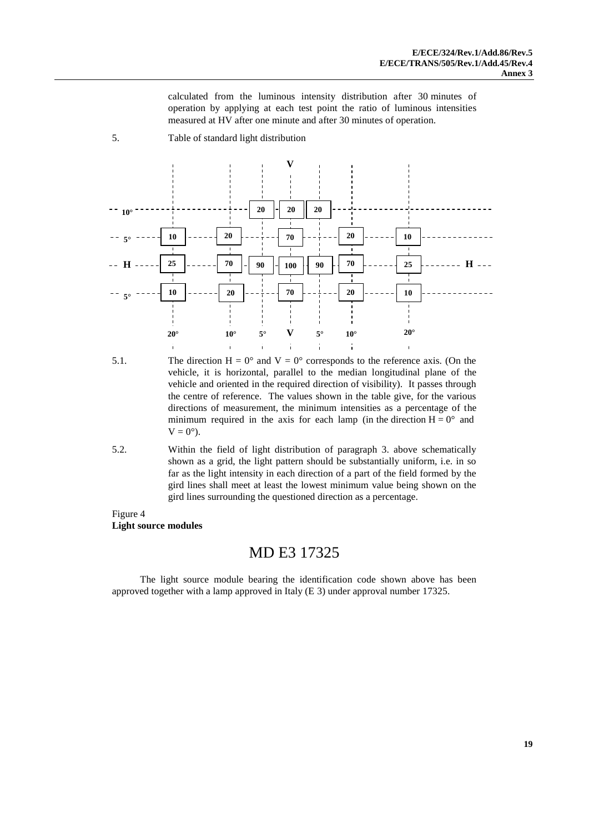calculated from the luminous intensity distribution after 30 minutes of operation by applying at each test point the ratio of luminous intensities measured at HV after one minute and after 30 minutes of operation.

5. Table of standard light distribution



- 5.1. The direction  $H = 0^{\circ}$  and  $V = 0^{\circ}$  corresponds to the reference axis. (On the vehicle, it is horizontal, parallel to the median longitudinal plane of the vehicle and oriented in the required direction of visibility). It passes through the centre of reference. The values shown in the table give, for the various directions of measurement, the minimum intensities as a percentage of the minimum required in the axis for each lamp (in the direction  $H = 0^{\circ}$  and  $V = 0^{\circ}$ ).
- 5.2. Within the field of light distribution of paragraph 3. above schematically shown as a grid, the light pattern should be substantially uniform, i.e. in so far as the light intensity in each direction of a part of the field formed by the gird lines shall meet at least the lowest minimum value being shown on the gird lines surrounding the questioned direction as a percentage.
- Figure 4 **Light source modules**

#### MD E3 17325

The light source module bearing the identification code shown above has been approved together with a lamp approved in Italy (E 3) under approval number 17325.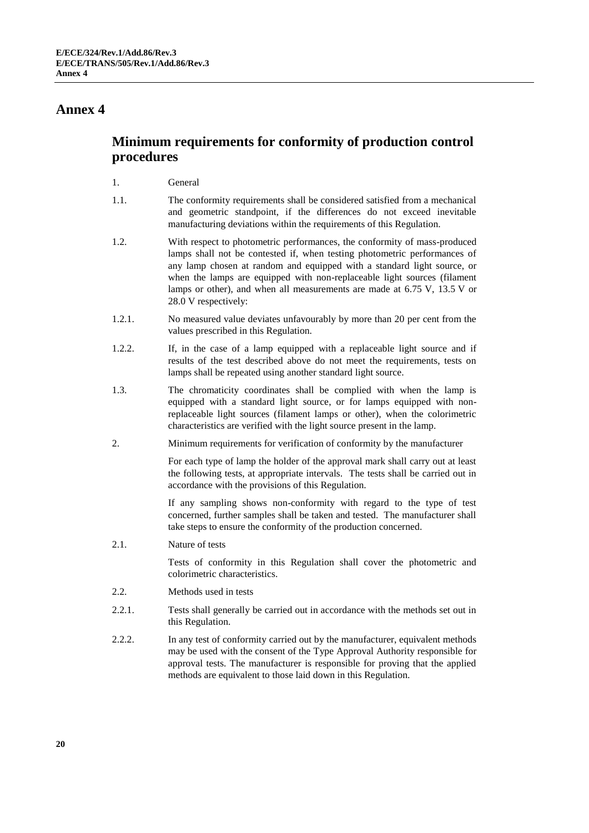# **Minimum requirements for conformity of production control procedures**

#### 1. General

- 1.1. The conformity requirements shall be considered satisfied from a mechanical and geometric standpoint, if the differences do not exceed inevitable manufacturing deviations within the requirements of this Regulation.
- 1.2. With respect to photometric performances, the conformity of mass-produced lamps shall not be contested if, when testing photometric performances of any lamp chosen at random and equipped with a standard light source, or when the lamps are equipped with non-replaceable light sources (filament lamps or other), and when all measurements are made at 6.75 V, 13.5 V or 28.0 V respectively:
- 1.2.1. No measured value deviates unfavourably by more than 20 per cent from the values prescribed in this Regulation.
- 1.2.2. If, in the case of a lamp equipped with a replaceable light source and if results of the test described above do not meet the requirements, tests on lamps shall be repeated using another standard light source.
- 1.3. The chromaticity coordinates shall be complied with when the lamp is equipped with a standard light source, or for lamps equipped with nonreplaceable light sources (filament lamps or other), when the colorimetric characteristics are verified with the light source present in the lamp.
- 2. Minimum requirements for verification of conformity by the manufacturer

For each type of lamp the holder of the approval mark shall carry out at least the following tests, at appropriate intervals. The tests shall be carried out in accordance with the provisions of this Regulation.

If any sampling shows non-conformity with regard to the type of test concerned, further samples shall be taken and tested. The manufacturer shall take steps to ensure the conformity of the production concerned.

2.1. Nature of tests

Tests of conformity in this Regulation shall cover the photometric and colorimetric characteristics.

- 2.2. Methods used in tests
- 2.2.1. Tests shall generally be carried out in accordance with the methods set out in this Regulation.
- 2.2.2. In any test of conformity carried out by the manufacturer, equivalent methods may be used with the consent of the Type Approval Authority responsible for approval tests. The manufacturer is responsible for proving that the applied methods are equivalent to those laid down in this Regulation.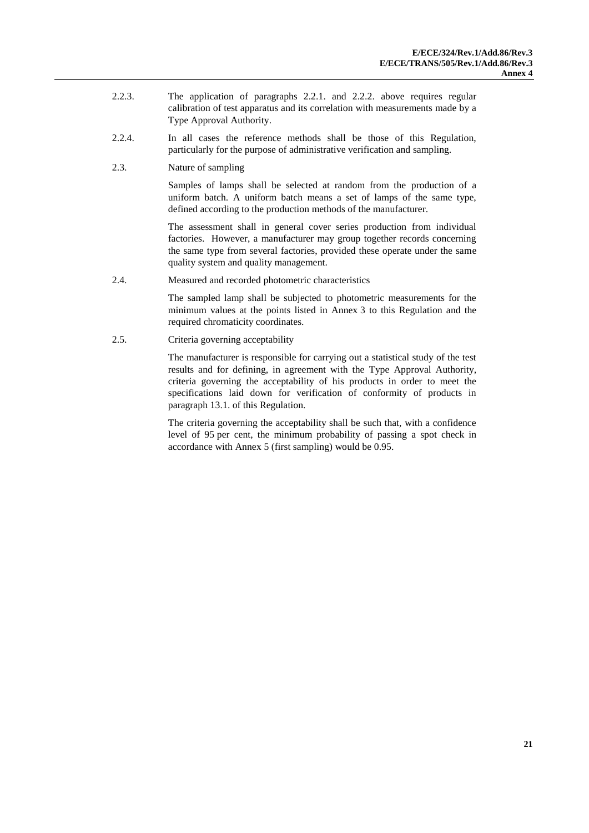- 2.2.3. The application of paragraphs 2.2.1. and 2.2.2. above requires regular calibration of test apparatus and its correlation with measurements made by a Type Approval Authority.
- 2.2.4. In all cases the reference methods shall be those of this Regulation, particularly for the purpose of administrative verification and sampling.
- 2.3. Nature of sampling

Samples of lamps shall be selected at random from the production of a uniform batch. A uniform batch means a set of lamps of the same type, defined according to the production methods of the manufacturer.

The assessment shall in general cover series production from individual factories. However, a manufacturer may group together records concerning the same type from several factories, provided these operate under the same quality system and quality management.

2.4. Measured and recorded photometric characteristics

The sampled lamp shall be subjected to photometric measurements for the minimum values at the points listed in Annex 3 to this Regulation and the required chromaticity coordinates.

2.5. Criteria governing acceptability

The manufacturer is responsible for carrying out a statistical study of the test results and for defining, in agreement with the Type Approval Authority, criteria governing the acceptability of his products in order to meet the specifications laid down for verification of conformity of products in paragraph 13.1. of this Regulation.

The criteria governing the acceptability shall be such that, with a confidence level of 95 per cent, the minimum probability of passing a spot check in accordance with Annex 5 (first sampling) would be 0.95.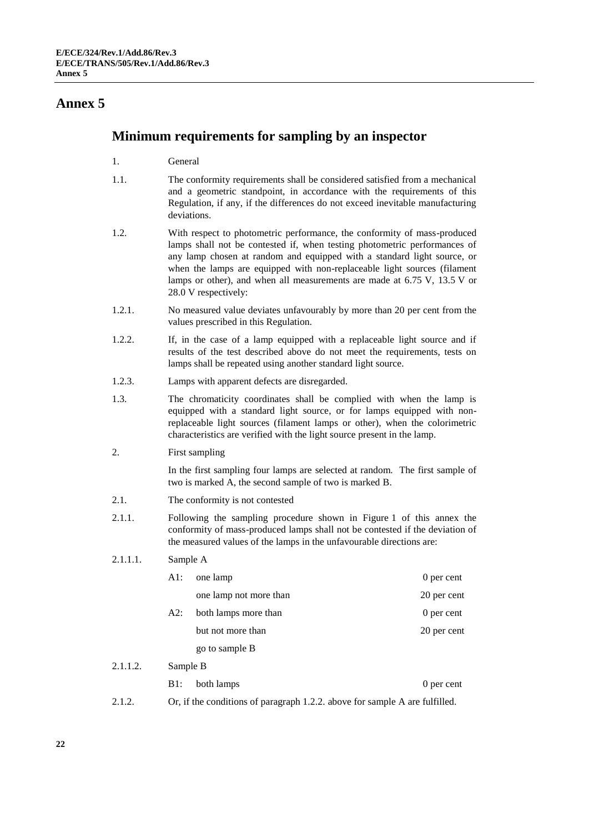## <span id="page-21-0"></span>**Minimum requirements for sampling by an inspector**

- 1. General
- 1.1. The conformity requirements shall be considered satisfied from a mechanical and a geometric standpoint, in accordance with the requirements of this Regulation, if any, if the differences do not exceed inevitable manufacturing deviations.
- 1.2. With respect to photometric performance, the conformity of mass-produced lamps shall not be contested if, when testing photometric performances of any lamp chosen at random and equipped with a standard light source, or when the lamps are equipped with non-replaceable light sources (filament lamps or other), and when all measurements are made at 6.75 V, 13.5 V or 28.0 V respectively:
- 1.2.1. No measured value deviates unfavourably by more than 20 per cent from the values prescribed in this Regulation.
- 1.2.2. If, in the case of a lamp equipped with a replaceable light source and if results of the test described above do not meet the requirements, tests on lamps shall be repeated using another standard light source.
- 1.2.3. Lamps with apparent defects are disregarded.
- 1.3. The chromaticity coordinates shall be complied with when the lamp is equipped with a standard light source, or for lamps equipped with nonreplaceable light sources (filament lamps or other), when the colorimetric characteristics are verified with the light source present in the lamp.
- 2. First sampling

In the first sampling four lamps are selected at random. The first sample of two is marked A, the second sample of two is marked B.

- 2.1. The conformity is not contested
- 2.1.1. Following the sampling procedure shown in Figure 1 of this annex the conformity of mass-produced lamps shall not be contested if the deviation of the measured values of the lamps in the unfavourable directions are:

#### 2.1.1.1. Sample A

 $2.1.1.2.$ 

|  | A1: | one lamp               | 0 per cent  |
|--|-----|------------------------|-------------|
|  |     | one lamp not more than | 20 per cent |
|  | A2: | both lamps more than   | 0 per cent  |
|  |     | but not more than      | 20 per cent |
|  |     | go to sample B         |             |
|  |     |                        |             |
|  | B1: | both lamps             | 0 per cent  |

2.1.2. Or, if the conditions of paragraph 1.2.2. above for sample A are fulfilled.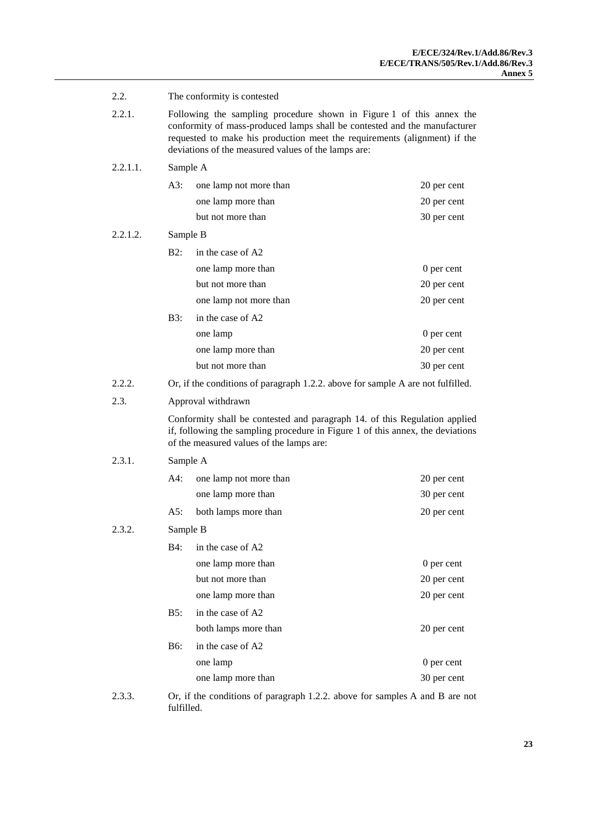| 2.2.     | The conformity is contested                                                                                                                                                                                                                                                           |                                                                                                                                                                                                          |             |  |
|----------|---------------------------------------------------------------------------------------------------------------------------------------------------------------------------------------------------------------------------------------------------------------------------------------|----------------------------------------------------------------------------------------------------------------------------------------------------------------------------------------------------------|-------------|--|
| 2.2.1.   | Following the sampling procedure shown in Figure 1 of this annex the<br>conformity of mass-produced lamps shall be contested and the manufacturer<br>requested to make his production meet the requirements (alignment) if the<br>deviations of the measured values of the lamps are: |                                                                                                                                                                                                          |             |  |
| 2.2.1.1. |                                                                                                                                                                                                                                                                                       | Sample A                                                                                                                                                                                                 |             |  |
|          | A3:                                                                                                                                                                                                                                                                                   | one lamp not more than                                                                                                                                                                                   | 20 per cent |  |
|          |                                                                                                                                                                                                                                                                                       | one lamp more than                                                                                                                                                                                       | 20 per cent |  |
|          |                                                                                                                                                                                                                                                                                       | but not more than                                                                                                                                                                                        | 30 per cent |  |
| 2.2.1.2. | Sample B                                                                                                                                                                                                                                                                              |                                                                                                                                                                                                          |             |  |
|          | B2:                                                                                                                                                                                                                                                                                   | in the case of A2                                                                                                                                                                                        |             |  |
|          |                                                                                                                                                                                                                                                                                       | one lamp more than                                                                                                                                                                                       | 0 per cent  |  |
|          |                                                                                                                                                                                                                                                                                       | but not more than                                                                                                                                                                                        | 20 per cent |  |
|          |                                                                                                                                                                                                                                                                                       | one lamp not more than                                                                                                                                                                                   | 20 per cent |  |
|          | B3:                                                                                                                                                                                                                                                                                   | in the case of A2                                                                                                                                                                                        |             |  |
|          |                                                                                                                                                                                                                                                                                       | one lamp                                                                                                                                                                                                 | 0 per cent  |  |
|          |                                                                                                                                                                                                                                                                                       | one lamp more than                                                                                                                                                                                       | 20 per cent |  |
|          |                                                                                                                                                                                                                                                                                       | but not more than                                                                                                                                                                                        | 30 per cent |  |
| 2.2.2.   |                                                                                                                                                                                                                                                                                       | Or, if the conditions of paragraph 1.2.2. above for sample A are not fulfilled.                                                                                                                          |             |  |
| 2.3.     |                                                                                                                                                                                                                                                                                       | Approval withdrawn                                                                                                                                                                                       |             |  |
|          |                                                                                                                                                                                                                                                                                       | Conformity shall be contested and paragraph 14. of this Regulation applied<br>if, following the sampling procedure in Figure 1 of this annex, the deviations<br>of the measured values of the lamps are: |             |  |
| 2.3.1.   | Sample A                                                                                                                                                                                                                                                                              |                                                                                                                                                                                                          |             |  |
|          | A4:                                                                                                                                                                                                                                                                                   | one lamp not more than                                                                                                                                                                                   | 20 per cent |  |
|          |                                                                                                                                                                                                                                                                                       | one lamp more than                                                                                                                                                                                       | 30 per cent |  |
|          | A5:                                                                                                                                                                                                                                                                                   | both lamps more than                                                                                                                                                                                     | 20 per cent |  |
| 2.3.2.   |                                                                                                                                                                                                                                                                                       | Sample B                                                                                                                                                                                                 |             |  |
|          | B4:                                                                                                                                                                                                                                                                                   | in the case of A2                                                                                                                                                                                        |             |  |
|          |                                                                                                                                                                                                                                                                                       | one lamp more than                                                                                                                                                                                       | 0 per cent  |  |
|          |                                                                                                                                                                                                                                                                                       | but not more than                                                                                                                                                                                        | 20 per cent |  |
|          |                                                                                                                                                                                                                                                                                       | one lamp more than                                                                                                                                                                                       | 20 per cent |  |
|          | B5:                                                                                                                                                                                                                                                                                   | in the case of A2                                                                                                                                                                                        |             |  |
|          |                                                                                                                                                                                                                                                                                       | both lamps more than                                                                                                                                                                                     | 20 per cent |  |
|          | B6:                                                                                                                                                                                                                                                                                   | in the case of A2                                                                                                                                                                                        |             |  |
|          |                                                                                                                                                                                                                                                                                       | one lamp                                                                                                                                                                                                 | 0 per cent  |  |
|          |                                                                                                                                                                                                                                                                                       |                                                                                                                                                                                                          |             |  |
|          |                                                                                                                                                                                                                                                                                       | one lamp more than                                                                                                                                                                                       | 30 per cent |  |

2.3.3. Or, if the conditions of paragraph 1.2.2. above for samples A and B are not fulfilled.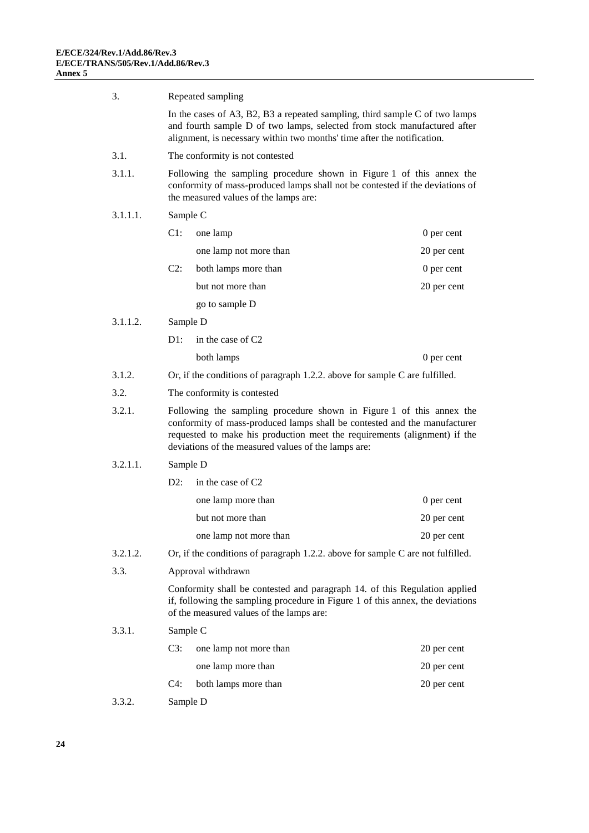| 3.       |                                                                             | Repeated sampling                                                                                                                                                                                                                                                                     |             |  |
|----------|-----------------------------------------------------------------------------|---------------------------------------------------------------------------------------------------------------------------------------------------------------------------------------------------------------------------------------------------------------------------------------|-------------|--|
|          |                                                                             | In the cases of A3, B2, B3 a repeated sampling, third sample $C$ of two lamps<br>and fourth sample D of two lamps, selected from stock manufactured after<br>alignment, is necessary within two months' time after the notification.                                                  |             |  |
| 3.1.     |                                                                             | The conformity is not contested                                                                                                                                                                                                                                                       |             |  |
| 3.1.1.   |                                                                             | Following the sampling procedure shown in Figure 1 of this annex the<br>conformity of mass-produced lamps shall not be contested if the deviations of<br>the measured values of the lamps are:                                                                                        |             |  |
| 3.1.1.1. | Sample C                                                                    |                                                                                                                                                                                                                                                                                       |             |  |
|          | $C1$ :                                                                      | one lamp                                                                                                                                                                                                                                                                              | 0 per cent  |  |
|          |                                                                             | one lamp not more than                                                                                                                                                                                                                                                                | 20 per cent |  |
|          | $C2$ :                                                                      | both lamps more than                                                                                                                                                                                                                                                                  | 0 per cent  |  |
|          |                                                                             | but not more than                                                                                                                                                                                                                                                                     | 20 per cent |  |
|          |                                                                             | go to sample D                                                                                                                                                                                                                                                                        |             |  |
| 3.1.1.2. | Sample D                                                                    |                                                                                                                                                                                                                                                                                       |             |  |
|          | $D1$ :                                                                      | in the case of C2                                                                                                                                                                                                                                                                     |             |  |
|          |                                                                             | both lamps                                                                                                                                                                                                                                                                            | 0 per cent  |  |
| 3.1.2.   | Or, if the conditions of paragraph 1.2.2. above for sample C are fulfilled. |                                                                                                                                                                                                                                                                                       |             |  |
| 3.2.     | The conformity is contested                                                 |                                                                                                                                                                                                                                                                                       |             |  |
| 3.2.1.   |                                                                             | Following the sampling procedure shown in Figure 1 of this annex the<br>conformity of mass-produced lamps shall be contested and the manufacturer<br>requested to make his production meet the requirements (alignment) if the<br>deviations of the measured values of the lamps are: |             |  |
| 3.2.1.1. | Sample D                                                                    |                                                                                                                                                                                                                                                                                       |             |  |
|          | $D2$ :                                                                      | in the case of C2                                                                                                                                                                                                                                                                     |             |  |
|          |                                                                             | one lamp more than                                                                                                                                                                                                                                                                    | 0 per cent  |  |
|          |                                                                             | but not more than                                                                                                                                                                                                                                                                     | 20 per cent |  |
|          |                                                                             | one lamp not more than                                                                                                                                                                                                                                                                | 20 per cent |  |
| 3.2.1.2. |                                                                             | Or, if the conditions of paragraph 1.2.2. above for sample C are not fulfilled.                                                                                                                                                                                                       |             |  |
| 3.3.     |                                                                             | Approval withdrawn                                                                                                                                                                                                                                                                    |             |  |
|          |                                                                             | Conformity shall be contested and paragraph 14. of this Regulation applied<br>if, following the sampling procedure in Figure 1 of this annex, the deviations<br>of the measured values of the lamps are:                                                                              |             |  |
| 3.3.1.   | Sample C                                                                    |                                                                                                                                                                                                                                                                                       |             |  |
|          | $C3$ :                                                                      | one lamp not more than                                                                                                                                                                                                                                                                | 20 per cent |  |
|          |                                                                             | one lamp more than                                                                                                                                                                                                                                                                    | 20 per cent |  |
|          | $C4$ :                                                                      | both lamps more than                                                                                                                                                                                                                                                                  | 20 per cent |  |
| 3.3.2.   | Sample D                                                                    |                                                                                                                                                                                                                                                                                       |             |  |
|          |                                                                             |                                                                                                                                                                                                                                                                                       |             |  |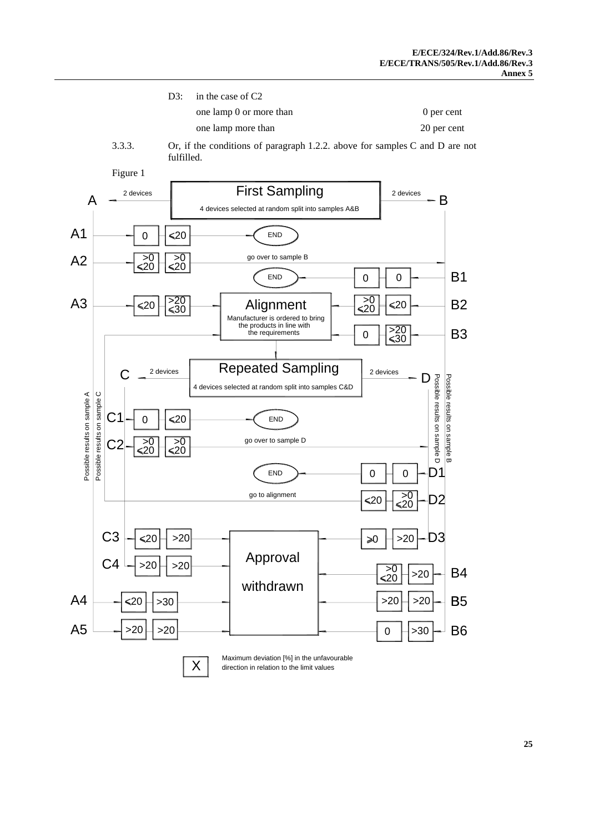| D3: in the case of $C2$ |             |
|-------------------------|-------------|
| one lamp 0 or more than | 0 per cent  |
| one lamp more than      | 20 per cent |

3.3.3. Or, if the conditions of paragraph 1.2.2. above for samples C and D are not fulfilled.





X